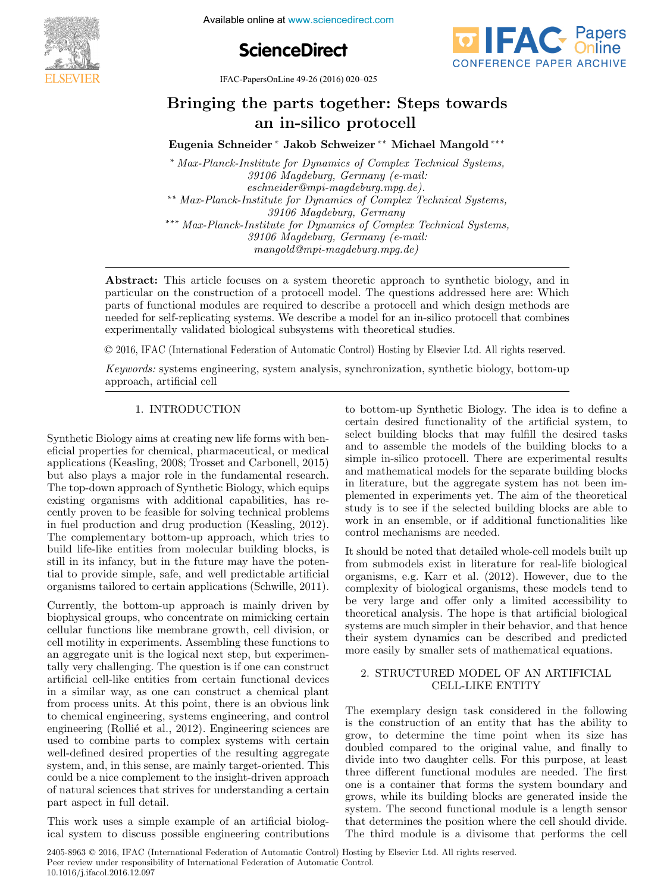**Foundations Biology in Engineering Biology in Engineering Biology in Engineering Biology in Engineering Biology in Engineering Biology in Engineering Biology in Engineering Biology in Engineering Biology in Engineering Bi** 





IFAC-PapersOnLine 49-26 (2016) 020–025

# Bringing the parts together: Steps towards Bringing the parts together: Steps towards Bringing the parts together: Steps towards an in-silico protocell an in-silico protocell an in-silico protocell Bringing the parts together: Steps towards

Eugenia Schneider <sup>∗</sup> Jakob Schweizer ∗∗ Michael Mangold ∗∗∗ Eugenia Schneider <sup>∗</sup> Jakob Schweizer ∗∗ Michael Mangold ∗∗∗ Eugenia Schneider <sup>∗</sup> Jakob Schweizer ∗∗ Michael Mangold ∗∗∗ Eugenia Schneider <sup>∗</sup> Jakob Schweizer ∗∗ Michael Mangold ∗∗∗

39106 Magdeburg, Germany (e-mail:  $s$ 39106 Magdeburg, Germany (e-mail:<br>eschneider@mpi-magdeburg.mpg.de). \*\* Max-Planck-Institute for Dynamics of Complex Technical Systems, ∗∗ Max-Planck-Institute for Dynamics of Complex Technical Systems, ∗∗ Max-Planck-Institute for Dynamics of Complex Technical Systems, 39106 Magdeburg, Germany \*\*\* Max-Planck-Institute for Dynamics of Complex Technical Systems, 39106 Magdeburg, Germany (e-mail:  $\frac{39100 \text{ mJy}}{29100 \text{ mJy}}$  mangold@mpi-magdeburg.mpg.de)  $mangold@mpi-magdeburg.mpg.de)$ <sup>∗</sup> Max-Planck-Institute for Dynamics of Complex Technical Systems,  $\frac{3910b \text{ Magdeburg}}{s}$ . Germany tute for Dynamics of Compl

particular on the construction of a protocell model. The questions addressed here are: Which particular on the construction of a protocol. The questions databased here are. Which needed for self-replicating systems. We describe a model for an in-silico protocell that combines needed for self-replicating systems. We describe a model for an in-silico protocell that combines<br>experimentally validated biological subsystems with theoretical studies. experimentally validated biological subsystems with theoretical studies. Abstract: This article focuses on a system theoretic approach to synthetic biology, and in

mangold@mpi-magdeburg.mpg.de)

© 2016, IFAC (International Federation of Automatic Control) Hosting by Elsevier Ltd. All rights reserved. keywords: systems engineering, systems and the system and the system of the system and the system of the system @ 2016 IEAC (International Federation of Automatic Control) Hosting by Elsevie

Keywords: systems engineering, system analysis, synchronization, synthetic biology, bottom-up approach, artificial cell approach, artificial cell approach, artificial cell

## 1. INTRODUCTION 1. INTRODUCTION 1. INTRODUCTION 1. INTRODUCTION

Synthetic Biology aims at creating new life forms with beneficial properties for chemical, pharmaceutical, or medical applications (Keasling, 2008; Trosset and Carbonell, 2015) but also plays a major role in the fundamental research. The top-down approach of Synthetic Biology, which equips existing organisms with additional capabilities, has recently proven to be feasible for solving technical problems In fuel production and drug production (Keasling, 2012). The complementary bottom-up approach, which tries to build life-like entities from molecular building blocks, is still in its infancy, but in the future may have the potential to provide simple, safe, and well predictable artificial organisms tailored to certain applications (Schwille, 2011). organisms tailored to certain applications (Schwille, 2011). organisms tailored to certain applications (Schwille, 2011).

Currently, the bottom-up approach is mainly driven by biophysical groups, who concentrate on mimicking certain cellular functions like membrane growth, cell division, or cell motility in experiments. Assembling these functions to and aggregate unit is the logical next step, but experimentally very challenging. The question is if one can construct artificial cell-like entities from certain functional devices in a similar way, as one can construct a chemical plant from process units. At this point, there is an obvious link to chemical engineering, systems engineering, and control engineering (Rollié et al., 2012). Engineering sciences are used to combine parts to complex systems with certain well-defined desired properties of the resulting aggregate system, and, in this sense, are mainly target-oriented. This could be a nice complement to the insight-driven approach of natural sciences that strives for understanding a certain part aspect in full detail. part aspect in full detail. part aspect in full detail. The complete the simple example of an artificial biology.

This work uses a simple example of an artificial biological system to discuss possible engineering contributions ical system to discuss possible engineering contributions ical system to discuss possible engineering contributions to bottom-up Synthetic Biology. The idea is to define a to bottom-up Synthetic Biology. The idea is to define a to bottom-up Synthetic Biology. The idea is to define a certain desired functionality of the artificial system, to select building blocks that may fulfill the desired tasks and to assemble the models of the building blocks to a simple in-silico protocell. There are experimental results and mathematical models for the separate building blocks in literature, but the aggregate system has not been implemented in experiments yet. The aim of the theoretical study is to see if the selected building blocks are able to work in an ensemble, or if additional functionalities like control mechanisms are needed. control mechanisms are needed. control mechanisms are needed. to bottom-up Synthetic Biology. The idea is to define a

It should be noted that detailed whole-cell models built up It should be noted that detailed whole-cell models built up It should be noted that detailed whole-cell models built up from submodels exist in literature for real-life biological organisms, e.g. Karr et al. (2012). However, due to the organisms, e.g. Karr et al. (2012). However, due to the complexity of biological organisms, these models tend to organisms, e.g. Karr et al. (2012). However, due to the complexity of biological organisms, these models tend to be very large and offer only a limited accessibility to theoretical analysis. The hope is that artificial biological systems are much simpler in their behavior, and that hence their system dynamics can be described and predicted more easily by smaller sets of mathematical equations. more easily by smaller sets of mathematical equations. more easily by smaller sets of mathematical equations. It should be noted that detailed whole-cell models built up

## 2. STRUCTURED MODEL OF AN ARTIFICIAL 2. STRUCTURED MODEL OF AN ARTIFICIAL CELL-LIKE ENTITY 2. STRUCTURED MODEL OF AN ARTIFICIAL CELL-LIKE ENTITY CELL-LIKE ENTITY CELL-LIKE ENTITY

The exemplary design task considered in the following is the construction of an entity that has the ability to grow, to determine the time point when its size has doubled compared to the original value, and finally to doubled compared to the original value, and finally to divide into two daughter cells. For this purpose, at least doubled compared to the original value, and finally to divide into two daughter cells. For this purpose, at least three different functional modules are needed. The first one is a container that forms the system boundary and one is a container that forms the system boundary and grows, while its building blocks are generated inside the one is a container that forms the system boundary and grows, while its building blocks are generated inside the system. The second functional module is a length sensor that determines the position where the cell should divide. The third module is a divisome that performs the cell The third module is a divisome that performs the cell The third module is a divisome that performs the cell

2405-8963 © 2016, IFAC (International Federation of Automatic Control) Hosting by Elsevier Ltd. All rights reserved. **Copyright © 2016 IFAC 1 Peer review under responsibility of International Federation of Automatic Control.<br>
<b>Peer review under responsibility of International Federation of Automatic Control.** 10.1016/j.ifacol.2016.12.097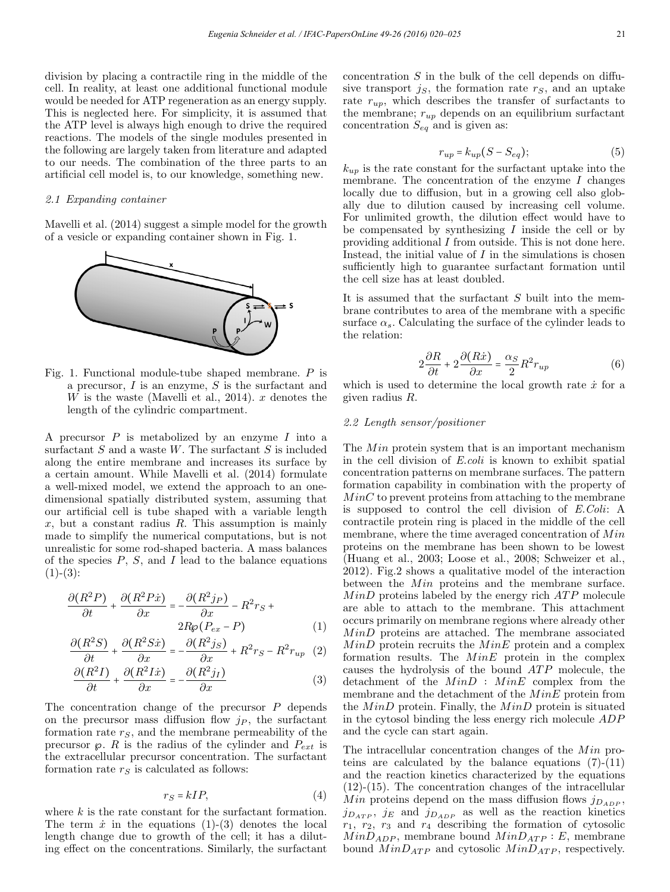division by placing a contractile ring in the middle of the cell. In reality, at least one additional functional module would be needed for ATP regeneration as an energy supply. This is neglected here. For simplicity, it is assumed that the ATP level is always high enough to drive the required reactions. The models of the single modules presented in the following are largely taken from literature and adapted to our needs. The combination of the three parts to an artificial cell model is, to our knowledge, something new.

#### 2.1 Expanding container

Mavelli et al. (2014) suggest a simple model for the growth of a vesicle or expanding container shown in Fig. 1.



Fig. 1. Functional module-tube shaped membrane. P is a precursor,  $I$  is an enzyme,  $S$  is the surfactant and  $W$  is the waste (Mavelli et al., 2014). x denotes the length of the cylindric compartment.

A precursor  $P$  is metabolized by an enzyme  $I$  into a surfactant  $S$  and a waste  $W$ . The surfactant  $S$  is included along the entire membrane and increases its surface by a certain amount. While Mavelli et al. (2014) formulate a well-mixed model, we extend the approach to an onedimensional spatially distributed system, assuming that our artificial cell is tube shaped with a variable length  $x$ , but a constant radius  $R$ . This assumption is mainly made to simplify the numerical computations, but is not unrealistic for some rod-shaped bacteria. A mass balances of the species  $P$ ,  $S$ , and  $I$  lead to the balance equations  $(1)-(3)$ :

$$
\frac{\partial (R^2 P)}{\partial t} + \frac{\partial (R^2 P \dot{x})}{\partial x} = -\frac{\partial (R^2 j_P)}{\partial x} - R^2 r_S + 2R\wp(P_{ex} - P) \tag{1}
$$

$$
\frac{\partial (R^2S)}{\partial t} + \frac{\partial (R^2S\dot{x})}{\partial x} = -\frac{\partial (R^2j_S)}{\partial x} + R^2r_S - R^2r_{up} \quad (2)
$$

$$
\frac{\partial (R^2 I)}{\partial t} + \frac{\partial (R^2 I \dot{x})}{\partial x} = -\frac{\partial (R^2 j_I)}{\partial x} \tag{3}
$$

The concentration change of the precursor  $P$  depends on the precursor mass diffusion flow  $j_P$ , the surfactant formation rate  $r_S$ , and the membrane permeability of the precursor  $\varphi$ . R is the radius of the cylinder and  $P_{ext}$  is the extracellular precursor concentration. The surfactant formation rate  $r<sub>S</sub>$  is calculated as follows:

$$
r_S = kIP,\t\t(4)
$$

where  $k$  is the rate constant for the surfactant formation. The term  $\dot{x}$  in the equations (1)-(3) denotes the local length change due to growth of the cell; it has a diluting effect on the concentrations. Similarly, the surfactant

concentration  $S$  in the bulk of the cell depends on diffusive transport  $j<sub>S</sub>$ , the formation rate  $r<sub>S</sub>$ , and an uptake rate  $r_{up}$ , which describes the transfer of surfactants to the membrane;  $r_{up}$  depends on an equilibrium surfactant concentration  $S_{eq}$  and is given as:

$$
r_{up} = k_{up}(S - S_{eq});\tag{5}
$$

 $k_{up}$  is the rate constant for the surfactant uptake into the membrane. The concentration of the enzyme  $I$  changes locally due to diffusion, but in a growing cell also globally due to dilution caused by increasing cell volume. For unlimited growth, the dilution effect would have to be compensated by synthesizing  $I$  inside the cell or by providing additional I from outside. This is not done here. Instead, the initial value of  $I$  in the simulations is chosen sufficiently high to guarantee surfactant formation until the cell size has at least doubled.

It is assumed that the surfactant  $S$  built into the membrane contributes to area of the membrane with a specific surface  $\alpha_s$ . Calculating the surface of the cylinder leads to the relation:

$$
2\frac{\partial R}{\partial t} + 2\frac{\partial (Rx)}{\partial x} = \frac{\alpha_S}{2}R^2 r_{up}
$$
 (6)

which is used to determine the local growth rate  $\dot{x}$  for a given radius R.

#### 2.2 Length sensor/positioner

The  $Min$  protein system that is an important mechanism in the cell division of E.coli is known to exhibit spatial concentration patterns on membrane surfaces. The pattern formation capability in combination with the property of  $MinC$  to prevent proteins from attaching to the membrane is supposed to control the cell division of E.Coli: A contractile protein ring is placed in the middle of the cell membrane, where the time averaged concentration of  $Min$ proteins on the membrane has been shown to be lowest (Huang et al., 2003; Loose et al., 2008; Schweizer et al., 2012). Fig.2 shows a qualitative model of the interaction between the  $Min$  proteins and the membrane surface.  $MinD$  proteins labeled by the energy rich  $ATP$  molecule are able to attach to the membrane. This attachment occurs primarily on membrane regions where already other  $MinD$  proteins are attached. The membrane associated  $MinD$  protein recruits the  $MinE$  protein and a complex formation results. The  $MinE$  protein in the complex causes the hydrolysis of the bound  $ATP$  molecule, the detachment of the  $MinD$  :  $MinE$  complex from the membrane and the detachment of the  $MinE$  protein from the  $MinD$  protein. Finally, the  $MinD$  protein is situated in the cytosol binding the less energy rich molecule ADP and the cycle can start again.

The intracellular concentration changes of the  $Min$  proteins are calculated by the balance equations (7)-(11) and the reaction kinetics characterized by the equations (12)-(15). The concentration changes of the intracellular Min proteins depend on the mass diffusion flows  $j_{D_{ADP}}$ ,  $j_{D_{ATP}}$ ,  $j_E$  and  $j_{D_{ADP}}$  as well as the reaction kinetics  $r_1, r_2, r_3$  and  $r_4$  describing the formation of cytosolic  $MinD_{ADP}$ , membrane bound  $MinD_{ATP} : E$ , membrane bound  $MinD_{ATP}$  and cytosolic  $MinD_{ATP}$ , respectively.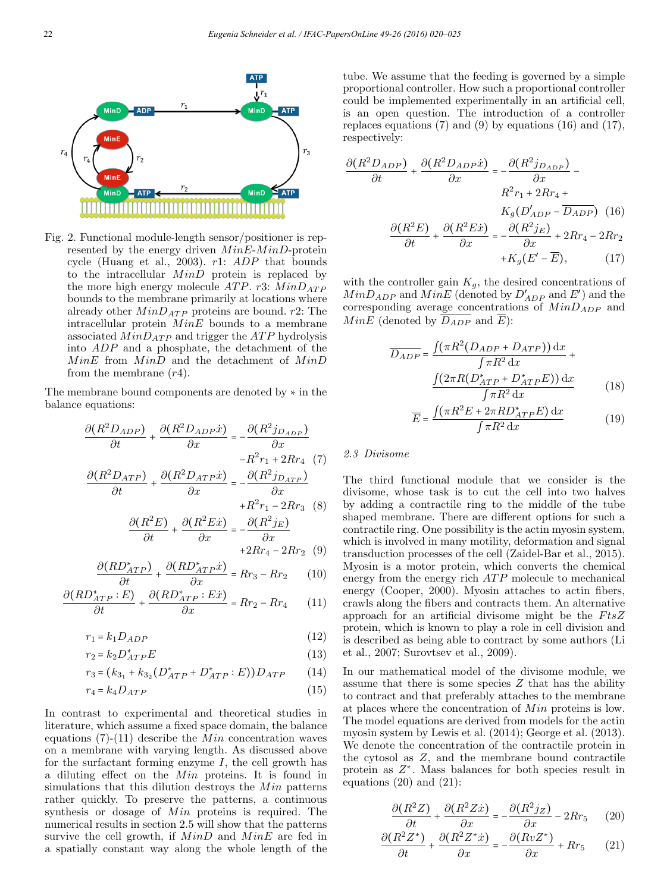

Fig. 2. Functional module-length sensor/positioner is represented by the energy driven  $MinE\text{-}MinD\text{-}protein$ cycle (Huang et al., 2003). r1: ADP that bounds to the intracellular  $MinD$  protein is replaced by the more high energy molecule ATP. r3:  $MinD_{ATP}$ bounds to the membrane primarily at locations where already other  $MinD_{ATP}$  proteins are bound. r2: The intracellular protein  $MinE$  bounds to a membrane associated  $MinD_{ATP}$  and trigger the *ATP* hydrolysis into ADP and a phosphate, the detachment of the  $MinE$  from  $MinD$  and the detachment of  $MinD$ from the membrane  $(r4)$ .

The membrane bound components are denoted by ∗ in the balance equations:

$$
\frac{\partial (R^2 D_{ADP})}{\partial t} + \frac{\partial (R^2 D_{ADP} \dot{x})}{\partial x} = -\frac{\partial (R^2 j_{D_{ADP}})}{\partial x} -R^2 r_1 + 2R r_4 \quad (7)
$$

$$
\frac{\partial (R^2 D_{ATP})}{\partial t} + \frac{\partial (R^2 D_{ATP} \dot{x})}{\partial x} = -\frac{\partial (R^2 j_{D_{ATP}})}{\partial x} + R^2 r_1 - 2R r_3 \quad (8)
$$

$$
\frac{\partial (R^2 E)}{\partial t} + \frac{\partial (R^2 E \dot{x})}{\partial x} = -\frac{\partial (R^2 j_E)}{\partial x} + 2Rr_4 - 2Rr_2 \quad (9)
$$

$$
\frac{\partial (RD_{ATP}^*)}{\partial t} + \frac{\partial (RD_{ATP}^* \dot{x})}{\partial x} = Rr_3 - Rr_2 \qquad (10)
$$

$$
\frac{\partial (RD_{ATP}^* : E)}{\partial t} + \frac{\partial (RD_{ATP}^* : E\dot{x})}{\partial x} = Rr_2 - Rr_4 \tag{11}
$$

$$
r_1 = k_1 D_{ADP} \tag{12}
$$

$$
r_2 = k_2 D_{ATP}^* E \tag{13}
$$

$$
r_3 = (k_{3_1} + k_{3_2} (D_{ATP}^* + D_{ATP}^* : E)) D_{ATP}
$$
 (14)

$$
r_4 = k_4 D_{ATP} \tag{15}
$$

In contrast to experimental and theoretical studies in literature, which assume a fixed space domain, the balance equations  $(7)-(11)$  describe the *Min* concentration waves on a membrane with varying length. As discussed above for the surfactant forming enzyme  $I$ , the cell growth has a diluting effect on the  $Min$  proteins. It is found in simulations that this dilution destroys the  $Min$  patterns rather quickly. To preserve the patterns, a continuous synthesis or dosage of  $Min$  proteins is required. The numerical results in section 2.5 will show that the patterns survive the cell growth, if  $MinD$  and  $MinE$  are fed in a spatially constant way along the whole length of the tube. We assume that the feeding is governed by a simple proportional controller. How such a proportional controller could be implemented experimentally in an artificial cell, is an open question. The introduction of a controller replaces equations  $(7)$  and  $(9)$  by equations  $(16)$  and  $(17)$ , respectively:

$$
\frac{\partial (R^2 D_{ADP})}{\partial t} + \frac{\partial (R^2 D_{ADP} \dot{x})}{\partial x} = -\frac{\partial (R^2 j_{D_{ADP}})}{\partial x} - R^2 r_1 + 2R r_4 + K_g (D_{ADP}' - \overline{D_{ADP}}) \tag{16}
$$

$$
\frac{\partial (R^2 E)}{\partial t} + \frac{\partial (R^2 E \dot{x})}{\partial x} = -\frac{\partial (R^2 j_E)}{\partial x} + 2R r_4 - 2R r_2 + K_g (E' - \overline{E}), \tag{17}
$$

with the controller gain  $K_g$ , the desired concentrations of  $MinD_{ADP}$  and  $MinE$  (denoted by  $D'_{ADP}$  and  $E'$ ) and the corresponding average concentrations of  $MinD_{ADP}$  and *MinE* (denoted by  $\overline{D_{ADP}}$  and  $\overline{E}$ ):

$$
\overline{D_{ADP}} = \frac{\int (\pi R^2 (D_{ADP} + D_{ATP})) dx}{\int \pi R^2 dx} + \frac{\int (2\pi R (D_{ATP}^* + D_{ATP}^* E)) dx}{\int \pi R^2 dx}
$$
(18)

$$
\int \pi R^2 dx
$$
\n
$$
\overline{E} = \frac{\int (\pi R^2 E + 2\pi R D_{ATP}^* E) dx}{\int \pi R^2 dx}
$$
\n(19)

### 2.3 Divisome

The third functional module that we consider is the divisome, whose task is to cut the cell into two halves by adding a contractile ring to the middle of the tube shaped membrane. There are different options for such a contractile ring. One possibility is the actin myosin system, which is involved in many motility, deformation and signal transduction processes of the cell (Zaidel-Bar et al., 2015). Myosin is a motor protein, which converts the chemical energy from the energy rich  $ATP$  molecule to mechanical energy (Cooper, 2000). Myosin attaches to actin fibers, crawls along the fibers and contracts them. An alternative approach for an artificial divisome might be the  $F$ ts $Z$ protein, which is known to play a role in cell division and is described as being able to contract by some authors (Li et al., 2007; Surovtsev et al., 2009).

In our mathematical model of the divisome module, we assume that there is some species  $Z$  that has the ability to contract and that preferably attaches to the membrane at places where the concentration of  $Min$  proteins is low. The model equations are derived from models for the actin myosin system by Lewis et al. (2014); George et al. (2013). We denote the concentration of the contractile protein in the cytosol as Z, and the membrane bound contractile protein as  $Z^*$ . Mass balances for both species result in equations  $(20)$  and  $(21)$ :

$$
\frac{\partial (R^2 Z)}{\partial t} + \frac{\partial (R^2 Z \dot{x})}{\partial x} = -\frac{\partial (R^2 j_Z)}{\partial x} - 2Rr_5 \tag{20}
$$

$$
\frac{\partial (R^2 Z^*)}{\partial t} + \frac{\partial (R^2 Z^* \dot{x})}{\partial x} = -\frac{\partial (Rv Z^*)}{\partial x} + Rr_5 \qquad (21)
$$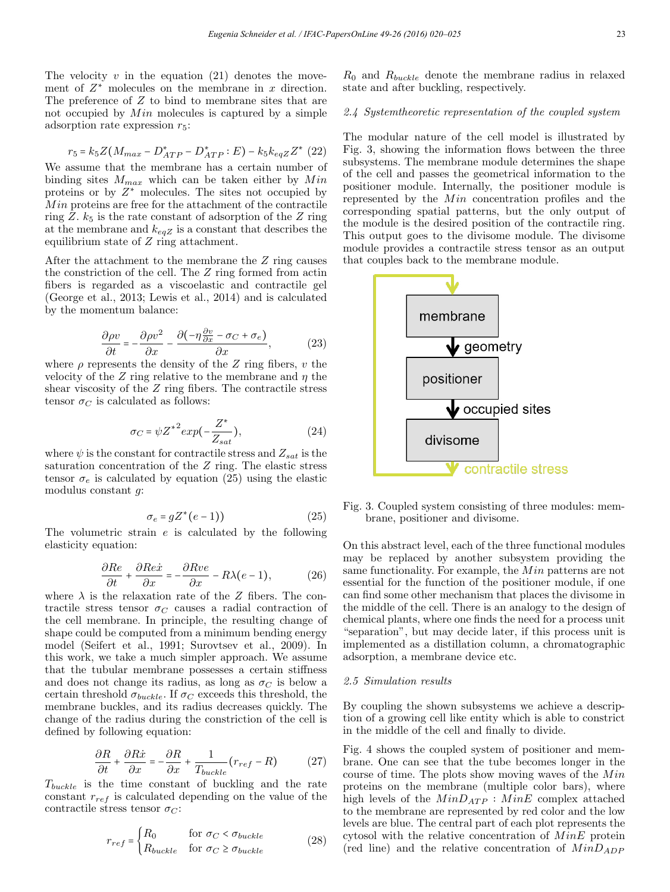The velocity  $v$  in the equation (21) denotes the movement of  $Z^*$  molecules on the membrane in x direction. The preference of Z to bind to membrane sites that are not occupied by  $Min$  molecules is captured by a simple adsorption rate expression  $r_5$ :

$$
r_5 = k_5 Z (M_{max} - D_{ATP}^* - D_{ATP}^* : E) - k_5 k_{eqZ} Z^* (22)
$$

We assume that the membrane has a certain number of binding sites  $M_{max}$  which can be taken either by  $Min$ proteins or by  $Z^*$  molecules. The sites not occupied by  $Min$  proteins are free for the attachment of the contractile ring Z.  $k_5$  is the rate constant of adsorption of the Z ring at the membrane and  $k_{eaZ}$  is a constant that describes the equilibrium state of  $Z$  ring attachment.

After the attachment to the membrane the Z ring causes the constriction of the cell. The Z ring formed from actin fibers is regarded as a viscoelastic and contractile gel (George et al., 2013; Lewis et al., 2014) and is calculated by the momentum balance:

$$
\frac{\partial \rho v}{\partial t} = -\frac{\partial \rho v^2}{\partial x} - \frac{\partial \left(-\eta \frac{\partial v}{\partial x} - \sigma_C + \sigma_e\right)}{\partial x},\tag{23}
$$

where  $\rho$  represents the density of the Z ring fibers, v the velocity of the Z ring relative to the membrane and  $\eta$  the shear viscosity of the Z ring fibers. The contractile stress tensor  $\sigma_C$  is calculated as follows:

$$
\sigma_C = \psi Z^{*2} exp(-\frac{Z^*}{Z_{sat}}),\tag{24}
$$

where  $\psi$  is the constant for contractile stress and  $Z_{sat}$  is the saturation concentration of the Z ring. The elastic stress tensor  $\sigma_e$  is calculated by equation (25) using the elastic modulus constant g:

$$
\sigma_e = gZ^*(e-1) \tag{25}
$$

The volumetric strain e is calculated by the following elasticity equation:

$$
\frac{\partial Re}{\partial t} + \frac{\partial Re\dot{x}}{\partial x} = -\frac{\partial Rve}{\partial x} - R\lambda(e-1),\tag{26}
$$

where  $\lambda$  is the relaxation rate of the Z fibers. The contractile stress tensor  $\sigma_C$  causes a radial contraction of the cell membrane. In principle, the resulting change of shape could be computed from a minimum bending energy model (Seifert et al., 1991; Surovtsev et al., 2009). In this work, we take a much simpler approach. We assume that the tubular membrane possesses a certain stiffness and does not change its radius, as long as  $\sigma_C$  is below a certain threshold  $\sigma_{bucket}$ . If  $\sigma_C$  exceeds this threshold, the membrane buckles, and its radius decreases quickly. The change of the radius during the constriction of the cell is defined by following equation:

$$
\frac{\partial R}{\partial t} + \frac{\partial R\dot{x}}{\partial x} = -\frac{\partial R}{\partial x} + \frac{1}{T_{bucket}}(r_{ref} - R)
$$
 (27)

 $T_{bucket}$  is the time constant of buckling and the rate constant  $r_{ref}$  is calculated depending on the value of the contractile stress tensor  $\sigma_C$ :

$$
r_{ref} = \begin{cases} R_0 & \text{for } \sigma_C < \sigma_{bucket} \\ R_{bucket} & \text{for } \sigma_C \ge \sigma_{bucket} \end{cases} \tag{28}
$$

 $R_0$  and  $R_{bucket}$  denote the membrane radius in relaxed state and after buckling, respectively.

## 2.4 Systemtheoretic representation of the coupled system

The modular nature of the cell model is illustrated by Fig. 3, showing the information flows between the three subsystems. The membrane module determines the shape of the cell and passes the geometrical information to the positioner module. Internally, the positioner module is represented by the  $Min$  concentration profiles and the corresponding spatial patterns, but the only output of the module is the desired position of the contractile ring. This output goes to the divisome module. The divisome module provides a contractile stress tensor as an output that couples back to the membrane module.



Fig. 3. Coupled system consisting of three modules: membrane, positioner and divisome.

On this abstract level, each of the three functional modules may be replaced by another subsystem providing the same functionality. For example, the  $Min$  patterns are not essential for the function of the positioner module, if one can find some other mechanism that places the divisome in the middle of the cell. There is an analogy to the design of chemical plants, where one finds the need for a process unit "separation", but may decide later, if this process unit is implemented as a distillation column, a chromatographic adsorption, a membrane device etc.

#### 2.5 Simulation results

By coupling the shown subsystems we achieve a description of a growing cell like entity which is able to constrict in the middle of the cell and finally to divide.

Fig. 4 shows the coupled system of positioner and membrane. One can see that the tube becomes longer in the course of time. The plots show moving waves of the  $Min$ proteins on the membrane (multiple color bars), where high levels of the  $MinD_{ATP}$  :  $MinE$  complex attached to the membrane are represented by red color and the low levels are blue. The central part of each plot represents the cytosol with the relative concentration of  $MinE$  protein (red line) and the relative concentration of  $MinD_{ADP}$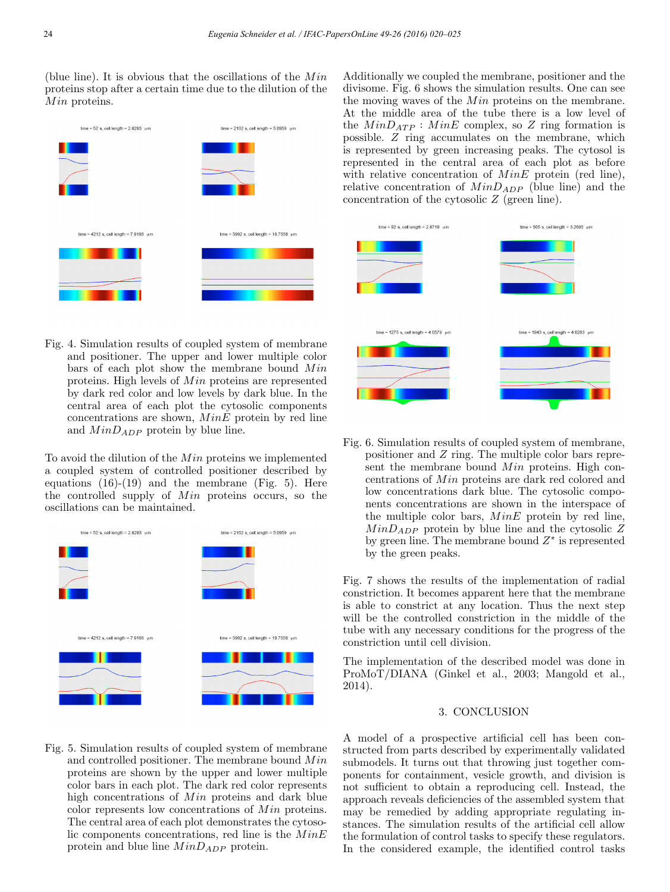(blue line). It is obvious that the oscillations of the  $Min$ proteins stop after a certain time due to the dilution of the  $Min$  proteins.



Fig. 4. Simulation results of coupled system of membrane and positioner. The upper and lower multiple color bars of each plot show the membrane bound  $Min$ proteins. High levels of  $Min$  proteins are represented by dark red color and low levels by dark blue. In the central area of each plot the cytosolic components concentrations are shown,  $MinE$  protein by red line and  $MinD_{ADP}$  protein by blue line.

To avoid the dilution of the  $Min$  proteins we implemented a coupled system of controlled positioner described by equations  $(16)-(19)$  and the membrane (Fig. 5). Here the controlled supply of  $Min$  proteins occurs, so the oscillations can be maintained.



Fig. 5. Simulation results of coupled system of membrane and controlled positioner. The membrane bound  $Min$ proteins are shown by the upper and lower multiple color bars in each plot. The dark red color represents high concentrations of  $Min$  proteins and dark blue color represents low concentrations of  $Min$  proteins. The central area of each plot demonstrates the cytosolic components concentrations, red line is the  $MinE$ protein and blue line  $MinD_{ADP}$  protein.

Additionally we coupled the membrane, positioner and the divisome. Fig. 6 shows the simulation results. One can see the moving waves of the  $Min$  proteins on the membrane. At the middle area of the tube there is a low level of the  $MinD_{ATP}$ :  $MinE$  complex, so Z ring formation is possible. Z ring accumulates on the membrane, which is represented by green increasing peaks. The cytosol is represented in the central area of each plot as before with relative concentration of  $MinE$  protein (red line), relative concentration of  $MinD_{ADP}$  (blue line) and the concentration of the cytosolic Z (green line).



Fig. 6. Simulation results of coupled system of membrane, positioner and Z ring. The multiple color bars represent the membrane bound  $Min$  proteins. High concentrations of  $Min$  proteins are dark red colored and low concentrations dark blue. The cytosolic components concentrations are shown in the interspace of the multiple color bars,  $MinE$  protein by red line,  $MinD_{ADP}$  protein by blue line and the cytosolic Z by green line. The membrane bound  $Z^*$  is represented by the green peaks.

Fig. 7 shows the results of the implementation of radial constriction. It becomes apparent here that the membrane is able to constrict at any location. Thus the next step will be the controlled constriction in the middle of the tube with any necessary conditions for the progress of the constriction until cell division.

The implementation of the described model was done in ProMoT/DIANA (Ginkel et al., 2003; Mangold et al., 2014).

### 3. CONCLUSION

A model of a prospective artificial cell has been constructed from parts described by experimentally validated submodels. It turns out that throwing just together components for containment, vesicle growth, and division is not sufficient to obtain a reproducing cell. Instead, the approach reveals deficiencies of the assembled system that may be remedied by adding appropriate regulating instances. The simulation results of the artificial cell allow the formulation of control tasks to specify these regulators. In the considered example, the identified control tasks